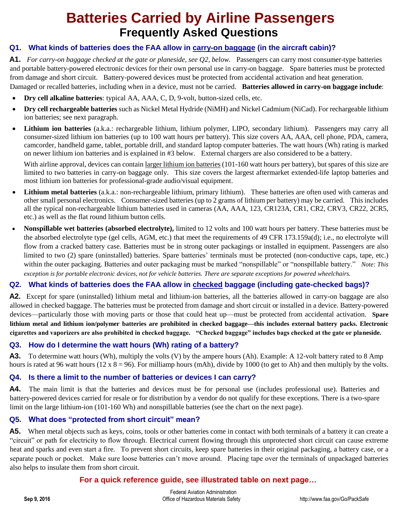# **Batteries Carried by Airline Passengers Frequently Asked Questions**

## **Q1. What kinds of batteries does the FAA allow in carry-on baggage (in the aircraft cabin)?**

**A1.** *For carry-on baggage checked at the gate or planeside, see Q2, below.* Passengers can carry most consumer-type batteries and portable battery-powered electronic devices for their own personal use in carry-on baggage. Spare batteries must be protected from damage and short circuit. Battery-powered devices must be protected from accidental activation and heat generation. Damaged or recalled batteries, including when in a device, must not be carried. **Batteries allowed in carry-on baggage include**:

- **Dry cell alkaline batteries**: typical AA, AAA, C, D, 9-volt, button-sized cells, etc.
- **Dry cell rechargeable batteries** such as Nickel Metal Hydride (NiMH) and Nickel Cadmium (NiCad). For rechargeable lithium ion batteries; see next paragraph.
- **Lithium ion batteries** (a.k.a.: rechargeable lithium, lithium polymer, LIPO, secondary lithium). Passengers may carry all consumer-sized lithium ion batteries (up to 100 watt hours per battery). This size covers AA, AAA, cell phone, PDA, camera, camcorder, handheld game, tablet, portable drill, and standard laptop computer batteries. The watt hours (Wh) rating is marked on newer lithium ion batteries and is explained in #3 below. External chargers are also considered to be a battery.

With airline approval, devices can contain larger lithium ion batteries (101-160 watt hours per battery), but spares of this size are limited to two batteries in carry-on baggage only. This size covers the largest aftermarket extended-life laptop batteries and most lithium ion batteries for professional-grade audio/visual equipment.

- **Lithium metal batteries** (a.k.a.: non-rechargeable lithium, primary lithium). These batteries are often used with cameras and other small personal electronics. Consumer-sized batteries (up to 2 grams of lithium per battery) may be carried. This includes all the typical non-rechargeable lithium batteries used in cameras (AA, AAA, 123, CR123A, CR1, CR2, CRV3, CR22, 2CR5, etc.) as well as the flat round lithium button cells.
- **Nonspillable wet batteries (absorbed electrolyte),** limited to 12 volts and 100 watt hours per battery. These batteries must be the absorbed electrolyte type (gel cells, AGM, etc.) that meet the requirements of 49 CFR 173.159a(d); i.e., no electrolyte will flow from a cracked battery case. Batteries must be in strong outer packagings or installed in equipment. Passengers are also limited to two (2) spare (uninstalled) batteries. Spare batteries' terminals must be protected (non-conductive caps, tape, etc.) within the outer packaging. Batteries and outer packaging must be marked "nonspillable" or "nonspillable battery." *Note: This exception is for portable electronic devices, not for vehicle batteries. There are separate exceptions for powered wheelchairs.*

## **Q2. What kinds of batteries does the FAA allow in checked baggage (including gate-checked bags)?**

**A2.** Except for spare (uninstalled) lithium metal and lithium-ion batteries, all the batteries allowed in carry-on baggage are also allowed in checked baggage. The batteries must be protected from damage and short circuit or installed in a device. Battery-powered devices—particularly those with moving parts or those that could heat up—must be protected from accidental activation. **Spare lithium metal and lithium ion/polymer batteries are prohibited in checked baggage—this includes external battery packs. Electronic cigarettes and vaporizers are also prohibited in checked baggage. "Checked baggage" includes bags checked at the gate or planeside.** 

#### **Q3. How do I determine the watt hours (Wh) rating of a battery?**

**A3.** To determine watt hours (Wh), multiply the volts (V) by the ampere hours (Ah). Example: A 12-volt battery rated to 8 Amp hours is rated at 96 watt hours (12 x 8 = 96). For milliamp hours (mAh), divide by 1000 (to get to Ah) and then multiply by the volts.

#### **Q4. Is there a limit to the number of batteries or devices I can carry?**

A4. The main limit is that the batteries and devices must be for personal use (includes professional use). Batteries and battery-powered devices carried for resale or for distribution by a vendor do not qualify for these exceptions. There is a two-spare limit on the large lithium-ion (101-160 Wh) and nonspillable batteries (see the chart on the next page).

#### **Q5. What does "protected from short circuit" mean?**

**A5.** When metal objects such as keys, coins, tools or other batteries come in contact with both terminals of a battery it can create a "circuit" or path for electricity to flow through. Electrical current flowing through this unprotected short circuit can cause extreme heat and sparks and even start a fire. To prevent short circuits, keep spare batteries in their original packaging, a battery case, or a separate pouch or pocket. Make sure loose batteries can't move around. Placing tape over the terminals of unpackaged batteries also helps to insulate them from short circuit.

## **For a quick reference guide, see illustrated table on next page…**